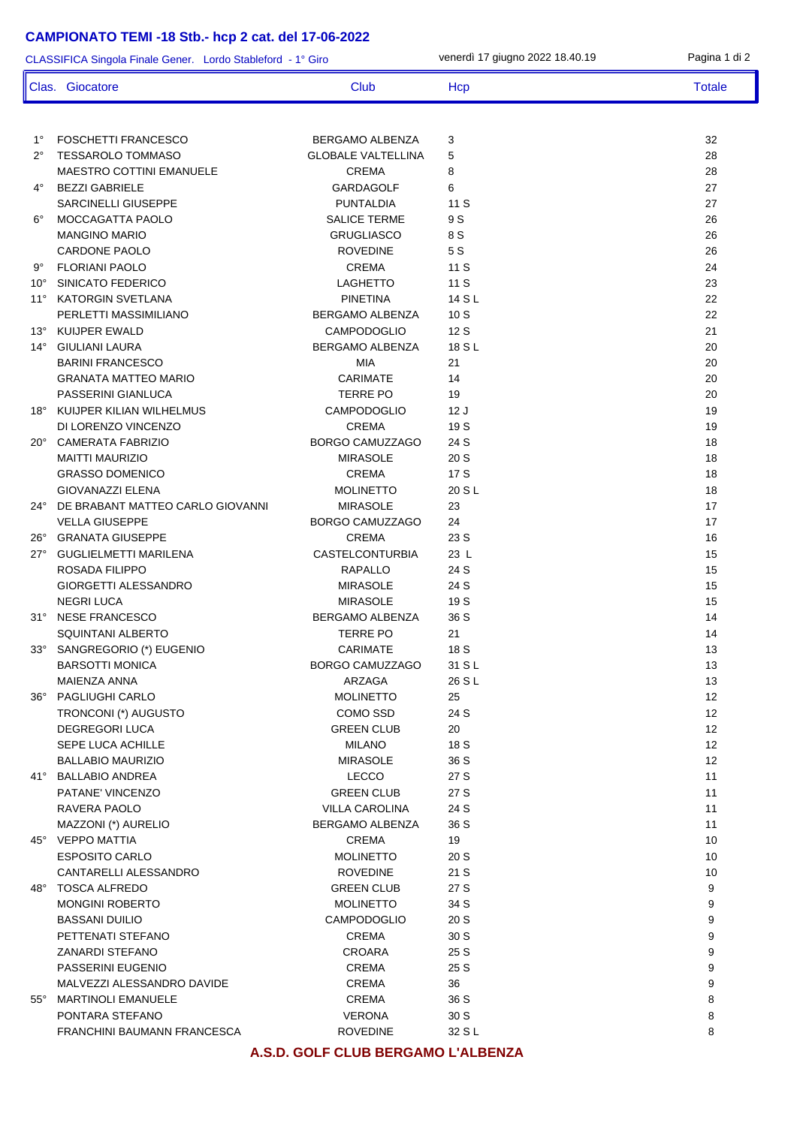## **CAMPIONATO TEMI -18 Stb.- hcp 2 cat. del 17-06-2022**

| CLASSIFICA Singola Finale Gener. Lordo Stableford - 1° Giro |                                                   |                                    | venerdì 17 giugno 2022 18.40.19 | Pagina 1 di 2 |
|-------------------------------------------------------------|---------------------------------------------------|------------------------------------|---------------------------------|---------------|
|                                                             | Clas. Giocatore                                   | <b>Club</b>                        | Hcp                             | <b>Totale</b> |
|                                                             |                                                   |                                    |                                 |               |
| $1^{\circ}$                                                 | <b>FOSCHETTI FRANCESCO</b>                        | BERGAMO ALBENZA                    | 3                               | 32            |
| $2^{\circ}$                                                 | <b>TESSAROLO TOMMASO</b>                          | <b>GLOBALE VALTELLINA</b>          | 5                               | 28            |
|                                                             | MAESTRO COTTINI EMANUELE                          | <b>CREMA</b>                       | 8                               | 28            |
| 4°                                                          | <b>BEZZI GABRIELE</b>                             | <b>GARDAGOLF</b>                   | 6                               | 27            |
|                                                             | SARCINELLI GIUSEPPE                               | <b>PUNTALDIA</b>                   | 11 S                            | 27            |
| $6^{\circ}$                                                 | MOCCAGATTA PAOLO                                  | <b>SALICE TERME</b>                | 9 S                             | 26            |
|                                                             | <b>MANGINO MARIO</b>                              | <b>GRUGLIASCO</b>                  | 8 S                             | 26            |
|                                                             | CARDONE PAOLO                                     | <b>ROVEDINE</b>                    | 5S                              | 26            |
| 9°                                                          | <b>FLORIANI PAOLO</b>                             | <b>CREMA</b>                       | 11 S                            | 24            |
| $10^{\circ}$                                                | SINICATO FEDERICO                                 | <b>LAGHETTO</b><br><b>PINETINA</b> | 11S<br>14 S L                   | 23<br>22      |
| $11^{\circ}$                                                | <b>KATORGIN SVETLANA</b><br>PERLETTI MASSIMILIANO | BERGAMO ALBENZA                    | 10S                             | 22            |
| $13^\circ$                                                  | <b>KUIJPER EWALD</b>                              | <b>CAMPODOGLIO</b>                 | 12 S                            | 21            |
| $14^{\circ}$                                                | <b>GIULIANI LAURA</b>                             | BERGAMO ALBENZA                    | 18 S L                          | 20            |
|                                                             | <b>BARINI FRANCESCO</b>                           | <b>MIA</b>                         | 21                              | 20            |
|                                                             | <b>GRANATA MATTEO MARIO</b>                       | CARIMATE                           | 14                              | 20            |
|                                                             | PASSERINI GIANLUCA                                | <b>TERRE PO</b>                    | 19                              | 20            |
|                                                             | 18° KUIJPER KILIAN WILHELMUS                      | <b>CAMPODOGLIO</b>                 | 12J                             | 19            |
|                                                             | DI LORENZO VINCENZO                               | <b>CREMA</b>                       | 19 S                            | 19            |
|                                                             | 20° CAMERATA FABRIZIO                             | BORGO CAMUZZAGO                    | 24 S                            | 18            |
|                                                             | <b>MAITTI MAURIZIO</b>                            | <b>MIRASOLE</b>                    | 20 S                            | 18            |
|                                                             | <b>GRASSO DOMENICO</b>                            | <b>CREMA</b>                       | 17 S                            | 18            |
|                                                             | <b>GIOVANAZZI ELENA</b>                           | <b>MOLINETTO</b>                   | 20 S L                          | 18            |
|                                                             | 24° DE BRABANT MATTEO CARLO GIOVANNI              | <b>MIRASOLE</b>                    | 23                              | 17            |
|                                                             | <b>VELLA GIUSEPPE</b>                             | BORGO CAMUZZAGO                    | 24                              | 17            |
|                                                             | 26° GRANATA GIUSEPPE                              | <b>CREMA</b>                       | 23 S                            | 16            |
| $27^{\circ}$                                                | <b>GUGLIELMETTI MARILENA</b>                      | <b>CASTELCONTURBIA</b>             | 23 L                            | 15            |
|                                                             | <b>ROSADA FILIPPO</b>                             | <b>RAPALLO</b>                     | 24 S                            | 15            |
|                                                             | GIORGETTI ALESSANDRO                              | <b>MIRASOLE</b>                    | 24 S                            | 15            |
|                                                             | <b>NEGRI LUCA</b>                                 | <b>MIRASOLE</b>                    | 19 S                            | 15            |
|                                                             | 31° NESE FRANCESCO                                | BERGAMO ALBENZA                    | 36 S                            | 14            |
|                                                             | SQUINTANI ALBERTO                                 | <b>TERRE PO</b>                    | 21                              | 14            |
|                                                             | 33° SANGREGORIO (*) EUGENIO                       | CARIMATE                           | 18 S                            | 13            |
|                                                             | <b>BARSOTTI MONICA</b>                            | BORGO CAMUZZAGO                    | 31 S L                          | 13            |
|                                                             | MAIENZA ANNA                                      | ARZAGA                             | 26 S L                          | 13            |
|                                                             | 36° PAGLIUGHI CARLO                               | <b>MOLINETTO</b>                   | 25                              | 12            |
|                                                             | TRONCONI (*) AUGUSTO                              | COMO SSD                           | 24 S                            | 12            |
|                                                             | <b>DEGREGORI LUCA</b><br><b>SEPE LUCA ACHILLE</b> | <b>GREEN CLUB</b>                  | 20                              | 12<br>12      |
|                                                             | <b>BALLABIO MAURIZIO</b>                          | <b>MILANO</b><br><b>MIRASOLE</b>   | 18 S<br>36 S                    | 12            |
|                                                             | 41° BALLABIO ANDREA                               | <b>LECCO</b>                       | 27 S                            | 11            |
|                                                             | PATANE' VINCENZO                                  | <b>GREEN CLUB</b>                  | 27 S                            | 11            |
|                                                             | RAVERA PAOLO                                      | <b>VILLA CAROLINA</b>              | 24 S                            | 11            |
|                                                             | MAZZONI (*) AURELIO                               | BERGAMO ALBENZA                    | 36 S                            | 11            |
|                                                             | 45° VEPPO MATTIA                                  | <b>CREMA</b>                       | 19                              | 10            |
|                                                             | <b>ESPOSITO CARLO</b>                             | <b>MOLINETTO</b>                   | 20 S                            | 10            |
|                                                             | CANTARELLI ALESSANDRO                             | <b>ROVEDINE</b>                    | 21 S                            | 10            |
|                                                             | 48° TOSCA ALFREDO                                 | <b>GREEN CLUB</b>                  | 27 S                            | 9             |
|                                                             | <b>MONGINI ROBERTO</b>                            | <b>MOLINETTO</b>                   | 34 S                            | 9             |
|                                                             | <b>BASSANI DUILIO</b>                             | <b>CAMPODOGLIO</b>                 | 20 S                            | 9             |
|                                                             | PETTENATI STEFANO                                 | <b>CREMA</b>                       | 30 S                            | 9             |
|                                                             | <b>ZANARDI STEFANO</b>                            | CROARA                             | 25 S                            | 9             |
|                                                             | PASSERINI EUGENIO                                 | CREMA                              | 25 S                            | 9             |
|                                                             | MALVEZZI ALESSANDRO DAVIDE                        | CREMA                              | 36                              | 9             |
|                                                             | 55° MARTINOLI EMANUELE                            | CREMA                              | 36 S                            | 8             |
|                                                             | PONTARA STEFANO                                   | <b>VERONA</b>                      | 30 S                            | 8             |
|                                                             | FRANCHINI BAUMANN FRANCESCA                       | <b>ROVEDINE</b>                    | 32 S L                          | 8             |

**A.S.D. GOLF CLUB BERGAMO L'ALBENZA**